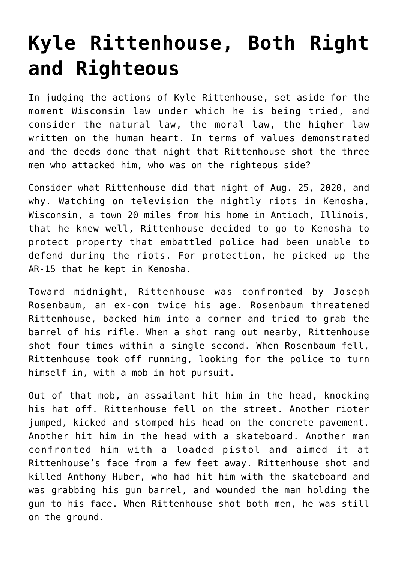## **[Kyle Rittenhouse, Both Right](https://intellectualtakeout.org/2021/11/kyle-rittenhouse-both-right-and-righteous/) [and Righteous](https://intellectualtakeout.org/2021/11/kyle-rittenhouse-both-right-and-righteous/)**

In judging the actions of Kyle Rittenhouse, set aside for the moment Wisconsin law under which he is being tried, and consider the natural law, the moral law, the higher law written on the human heart. In terms of values demonstrated and the deeds done that night that Rittenhouse shot the three men who attacked him, who was on the righteous side?

Consider what Rittenhouse did that night of Aug. 25, 2020, and why. Watching on television the nightly riots in Kenosha, Wisconsin, a town 20 miles from his home in Antioch, Illinois, that he knew well, Rittenhouse decided to go to Kenosha to protect property that embattled police had been unable to defend during the riots. For protection, he picked up the AR-15 that he kept in Kenosha.

Toward midnight, Rittenhouse was confronted by Joseph Rosenbaum, an ex-con twice his age. Rosenbaum threatened Rittenhouse, backed him into a corner and tried to grab the barrel of his rifle. When a shot rang out nearby, Rittenhouse shot four times within a single second. When Rosenbaum fell, Rittenhouse took off running, looking for the police to turn himself in, with a mob in hot pursuit.

Out of that mob, an assailant hit him in the head, knocking his hat off. Rittenhouse fell on the street. Another rioter jumped, kicked and stomped his head on the concrete pavement. Another hit him in the head with a skateboard. Another man confronted him with a loaded pistol and aimed it at Rittenhouse's face from a few feet away. Rittenhouse shot and killed Anthony Huber, who had hit him with the skateboard and was grabbing his gun barrel, and wounded the man holding the gun to his face. When Rittenhouse shot both men, he was still on the ground.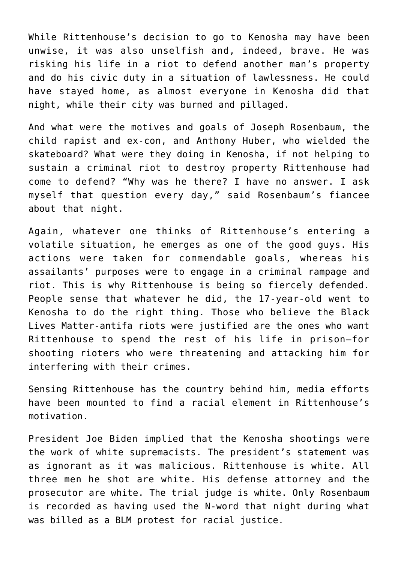While Rittenhouse's decision to go to Kenosha may have been unwise, it was also unselfish and, indeed, brave. He was risking his life in a riot to defend another man's property and do his civic duty in a situation of lawlessness. He could have stayed home, as almost everyone in Kenosha did that night, while their city was burned and pillaged.

And what were the motives and goals of Joseph Rosenbaum, the child rapist and ex-con, and Anthony Huber, who wielded the skateboard? What were they doing in Kenosha, if not helping to sustain a criminal riot to destroy property Rittenhouse had come to defend? "Why was he there? I have no answer. I ask myself that question every day," said Rosenbaum's fiancee about that night.

Again, whatever one thinks of Rittenhouse's entering a volatile situation, he emerges as one of the good guys. His actions were taken for commendable goals, whereas his assailants' purposes were to engage in a criminal rampage and riot. This is why Rittenhouse is being so fiercely defended. People sense that whatever he did, the 17-year-old went to Kenosha to do the right thing. Those who believe the Black Lives Matter-antifa riots were justified are the ones who want Rittenhouse to spend the rest of his life in prison—for shooting rioters who were threatening and attacking him for interfering with their crimes.

Sensing Rittenhouse has the country behind him, media efforts have been mounted to find a racial element in Rittenhouse's motivation.

President Joe Biden implied that the Kenosha shootings were the work of white supremacists. The president's statement was as ignorant as it was malicious. Rittenhouse is white. All three men he shot are white. His defense attorney and the prosecutor are white. The trial judge is white. Only Rosenbaum is recorded as having used the N-word that night during what was billed as a BLM protest for racial justice.